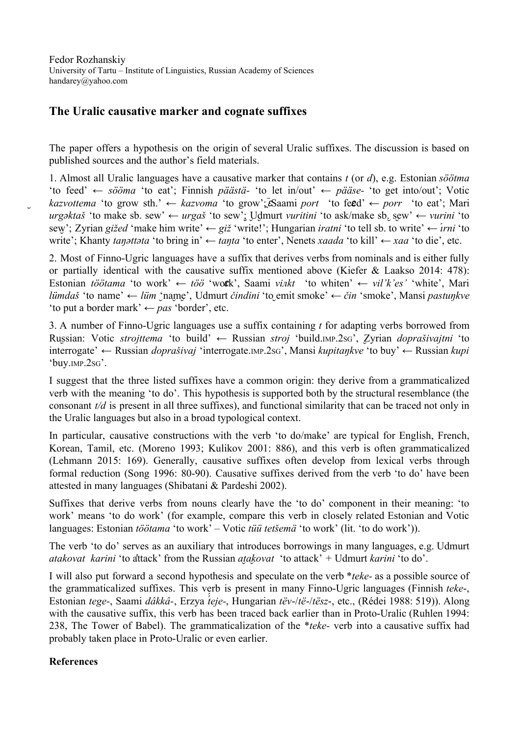Fedor Rozhanskiy University of Tartu – Institute of Linguistics, Russian Academy of Sciences handarey@yahoo.com

## **The Uralic causative marker and cognate suffixes**

The paper offers a hypothesis on the origin of several Uralic suffixes. The discussion is based on published sources and the author's field materials.

1. Almost all Uralic languages have a causative marker that contains *t* (or *d*), e.g. Estonian *söötma* 'to feed' ← *sööma* 'to eat'; Finnish *päästä* 'to let in/out' ← *pääse* 'to get into/out'; Votic  $k$ azvottema 'to grow sth.'  $\leftarrow$  *kazvoma* 'to grow'; $\bar{\epsilon}$ Saami *port* 'to feed'  $\leftarrow$  *porr* 'to eat'; Mari *urg*әktaš 'to make sb. sew' ← *urgaš* 'to sew'; Udmurt *vuritini* 'to ask/make sb. sew' ← *vurini* 'to sew';̮ Zyrian *gižed* 'make him write' ← *giž* 'write!'; Hungarian *iratni* 'to tell sb. to write' ← *ı́rni* 'to write'; Khanty *taŋәttәta* 'to bring in' ← *taŋta* 'to enter', Nenets *xaada* 'to kill' *← xaa* 'to die', etc.

2. Most of Finno-Ugric languages have a suffix that derives verbs from nominals and is either fully or partially identical with the causative suffix mentioned above (Kiefer & Laakso 2014: 478): Estonian *töötama* 'to work' ← *töö* 'wotk', Saami *vinkt* 'to whiten' ← *vil'k'es'* 'white', Mari *lümdaš* 'to name' ← *lüm* 'name', Udmurt *čindini* 'to emit smoke' ← *čin* 'smoke', Mansi *pastunkve* 'to put a border mark' ← *pas* 'border', etc.

3. A number of Finno-Ugric languages use a suffix containing *t* for adapting verbs borrowed from Russian: ̮ Votic *strojttema* 'to build' ← Russian *stroj* 'build.IMP.2SG', Zyrian ̮ *doprašivajtni* 'to interrogate' ← Russian *doprašivaj* 'interrogate. IMP.2SG', Mansi *kupitaŋkve* 'to buy' ← Russian *kupi* 'buy.IMP.2SG'.

I suggest that the three listed suffixes have a common origin: they derive from a grammaticalized verb with the meaning 'to do'. This hypothesis is supported both by the structural resemblance (the consonant *t/d* is present in all three suffixes), and functional similarity that can be traced not only in the Uralic languages but also in a broad typological context.

In particular, causative constructions with the verb 'to do/make' are typical for English, French, Korean, Tamil, etc. (Moreno 1993; Kulikov 2001: 886), and this verb is often grammaticalized (Lehmann 2015: 169). Generally, causative suffixes often develop from lexical verbs through formal reduction (Song 1996: 80-90). Causative suffixes derived from the verb 'to do' have been attested in many languages (Shibatani & Pardeshi 2002).

Suffixes that derive verbs from nouns clearly have the 'to do' component in their meaning: 'to work' means 'to do work' (for example, compare this verb in closely related Estonian and Votic languages: Estonian *töötama* 'to work' – Votic *tüü tetšemä* 'to work' (lit. 'to do work')).

The verb 'to do' serves as an auxiliary that introduces borrowings in many languages, e.g. Udmurt *atakovat karini* 'to attack' from the Russian *atakovat* 'to attack' + Udmurt *karini* 'to do'.

I will also put forward a second hypothesis and speculate on the verb \**teke* as a possible source of the grammaticalized suffixes. This verb is present in many Finno-Ugric languages (Finnish *teke*-, Estonian *tege*, Saami *dâkkâ* , Erzya *t́ ́eje* , Hungarian *tëv* /*të* /*tësz* , etc., (Rédei 1988: 519)). Along with the causative suffix, this verb has been traced back earlier than in Proto-Uralic (Ruhlen 1994: 238, The Tower of Babel). The grammaticalization of the *\*teke*- verb into a causative suffix had probably taken place in Proto-Uralic or even earlier.

## **References**